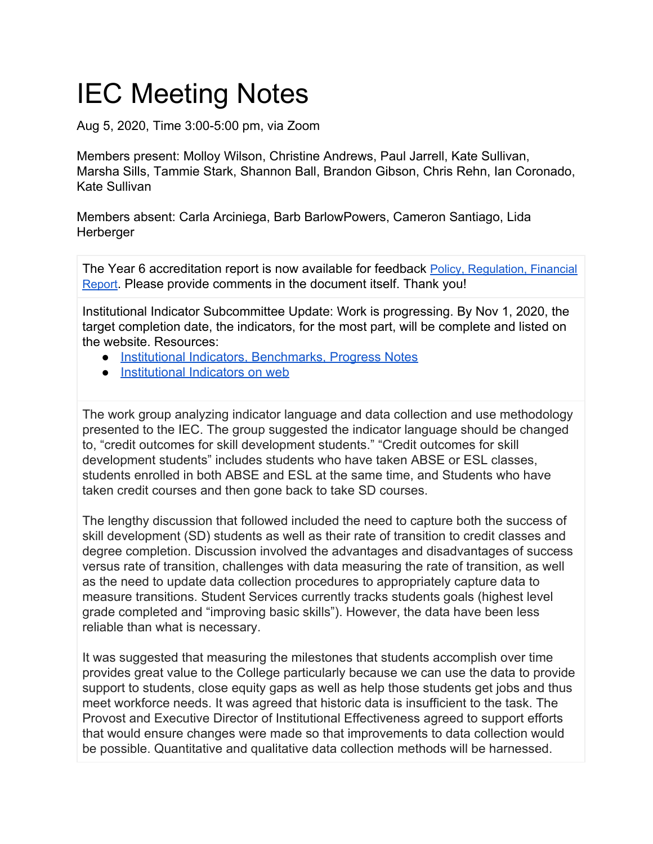## IEC Meeting Notes

Aug 5, 2020, Time 3:00-5:00 pm, via Zoom

Members present: Molloy Wilson, Christine Andrews, Paul Jarrell, Kate Sullivan, Marsha Sills, Tammie Stark, Shannon Ball, Brandon Gibson, Chris Rehn, Ian Coronado, Kate Sullivan

Members absent: Carla Arciniega, Barb BarlowPowers, Cameron Santiago, Lida **Herberger** 

The Year 6 accreditation report is now available for feedback Policy, [Regulation,](https://docs.google.com/document/d/1JYmlOB26zLiN7rQspvIzXVsNXd_PT4Mr9OmyNHD_ciQ/edit?usp=sharing) Financial [Report](https://docs.google.com/document/d/1JYmlOB26zLiN7rQspvIzXVsNXd_PT4Mr9OmyNHD_ciQ/edit?usp=sharing). Please provide comments in the document itself. Thank you!

Institutional Indicator Subcommittee Update: Work is progressing. By Nov 1, 2020, the target completion date, the indicators, for the most part, will be complete and listed on the website. Resources:

- [Institutional Indicators, Benchmarks, Progress Notes](https://docs.google.com/spreadsheets/d/1UW0Wcdbp9_q70ITxaJXYobOL9W6ggEqS58jy3bphmjg/edit#gid=0)
- [Institutional Indicators on web](https://www.lanecc.edu/ie/mission-fulfillment-institutional-indicators)

The work group analyzing indicator language and data collection and use methodology presented to the IEC. The group suggested the indicator language should be changed to, "credit outcomes for skill development students." "Credit outcomes for skill development students" includes students who have taken ABSE or ESL classes, students enrolled in both ABSE and ESL at the same time, and Students who have taken credit courses and then gone back to take SD courses.

The lengthy discussion that followed included the need to capture both the success of skill development (SD) students as well as their rate of transition to credit classes and degree completion. Discussion involved the advantages and disadvantages of success versus rate of transition, challenges with data measuring the rate of transition, as well as the need to update data collection procedures to appropriately capture data to measure transitions. Student Services currently tracks students goals (highest level grade completed and "improving basic skills"). However, the data have been less reliable than what is necessary.

It was suggested that measuring the milestones that students accomplish over time provides great value to the College particularly because we can use the data to provide support to students, close equity gaps as well as help those students get jobs and thus meet workforce needs. It was agreed that historic data is insufficient to the task. The Provost and Executive Director of Institutional Effectiveness agreed to support efforts that would ensure changes were made so that improvements to data collection would be possible. Quantitative and qualitative data collection methods will be harnessed.